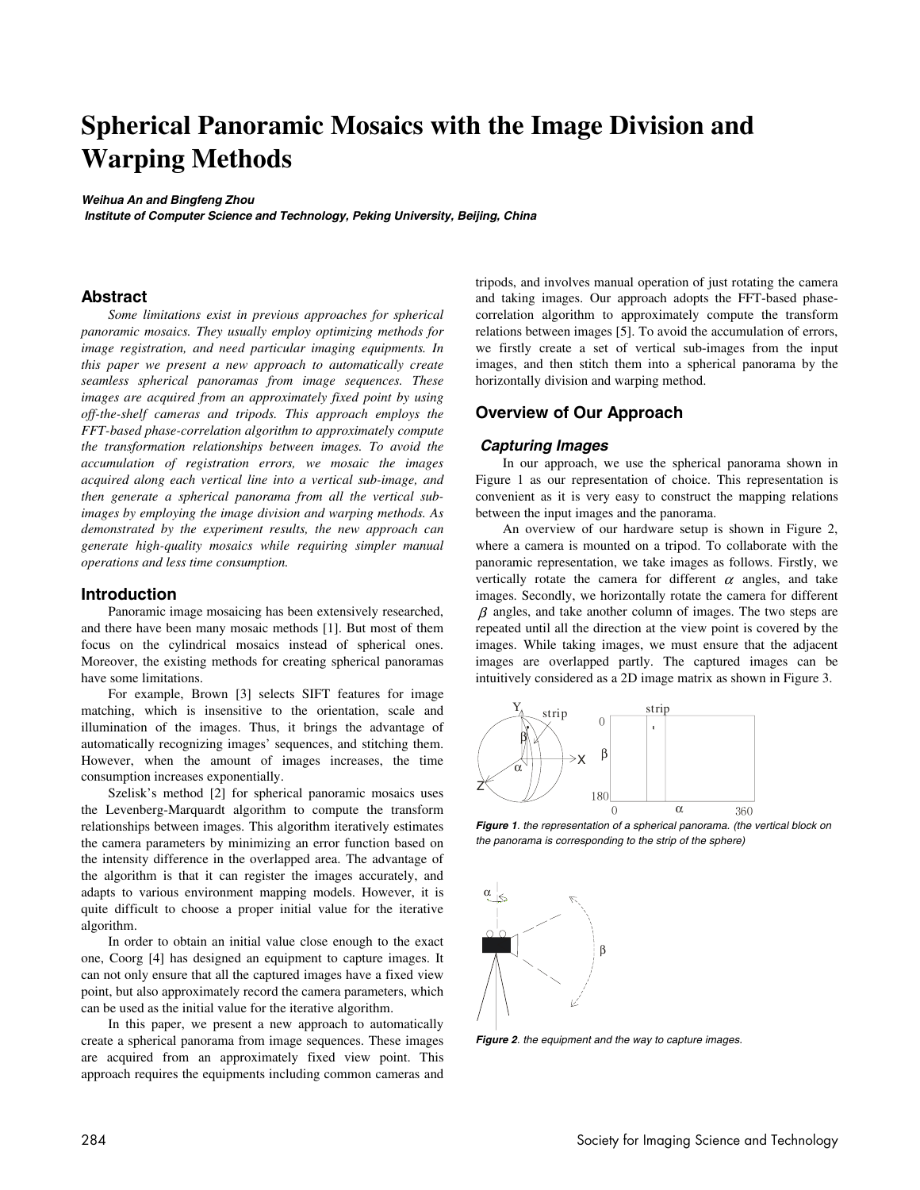# **Spherical Panoramic Mosaics with the Image Division and Warping Methods**

**Weihua An and Bingfeng Zhou** 

 **Institute of Computer Science and Technology, Peking University, Beijing, China** 

## **Abstract**

*Some limitations exist in previous approaches for spherical panoramic mosaics. They usually employ optimizing methods for image registration, and need particular imaging equipments. In this paper we present a new approach to automatically create seamless spherical panoramas from image sequences. These images are acquired from an approximately fixed point by using off-the-shelf cameras and tripods. This approach employs the FFT-based phase-correlation algorithm to approximately compute the transformation relationships between images. To avoid the accumulation of registration errors, we mosaic the images acquired along each vertical line into a vertical sub-image, and then generate a spherical panorama from all the vertical subimages by employing the image division and warping methods. As demonstrated by the experiment results, the new approach can generate high-quality mosaics while requiring simpler manual operations and less time consumption.* 

#### **Introduction**

Panoramic image mosaicing has been extensively researched, and there have been many mosaic methods [1]. But most of them focus on the cylindrical mosaics instead of spherical ones. Moreover, the existing methods for creating spherical panoramas have some limitations.

For example, Brown [3] selects SIFT features for image matching, which is insensitive to the orientation, scale and illumination of the images. Thus, it brings the advantage of automatically recognizing images' sequences, and stitching them. However, when the amount of images increases, the time consumption increases exponentially.

Szelisk's method [2] for spherical panoramic mosaics uses the Levenberg-Marquardt algorithm to compute the transform relationships between images. This algorithm iteratively estimates the camera parameters by minimizing an error function based on the intensity difference in the overlapped area. The advantage of the algorithm is that it can register the images accurately, and adapts to various environment mapping models. However, it is quite difficult to choose a proper initial value for the iterative algorithm.

In order to obtain an initial value close enough to the exact one, Coorg [4] has designed an equipment to capture images. It can not only ensure that all the captured images have a fixed view point, but also approximately record the camera parameters, which can be used as the initial value for the iterative algorithm.

In this paper, we present a new approach to automatically create a spherical panorama from image sequences. These images are acquired from an approximately fixed view point. This approach requires the equipments including common cameras and tripods, and involves manual operation of just rotating the camera and taking images. Our approach adopts the FFT-based phasecorrelation algorithm to approximately compute the transform relations between images [5]. To avoid the accumulation of errors, we firstly create a set of vertical sub-images from the input images, and then stitch them into a spherical panorama by the horizontally division and warping method.

# **Overview of Our Approach**

#### **Capturing Images**

In our approach, we use the spherical panorama shown in Figure 1 as our representation of choice. This representation is convenient as it is very easy to construct the mapping relations between the input images and the panorama.

An overview of our hardware setup is shown in Figure 2, where a camera is mounted on a tripod. To collaborate with the panoramic representation, we take images as follows. Firstly, we vertically rotate the camera for different  $\alpha$  angles, and take images. Secondly, we horizontally rotate the camera for different  $\beta$  angles, and take another column of images. The two steps are repeated until all the direction at the view point is covered by the images. While taking images, we must ensure that the adjacent images are overlapped partly. The captured images can be intuitively considered as a 2D image matrix as shown in Figure 3.



**Figure 1**. the representation of a spherical panorama. (the vertical block on the panorama is corresponding to the strip of the sphere)



**Figure 2.** the equipment and the way to capture images.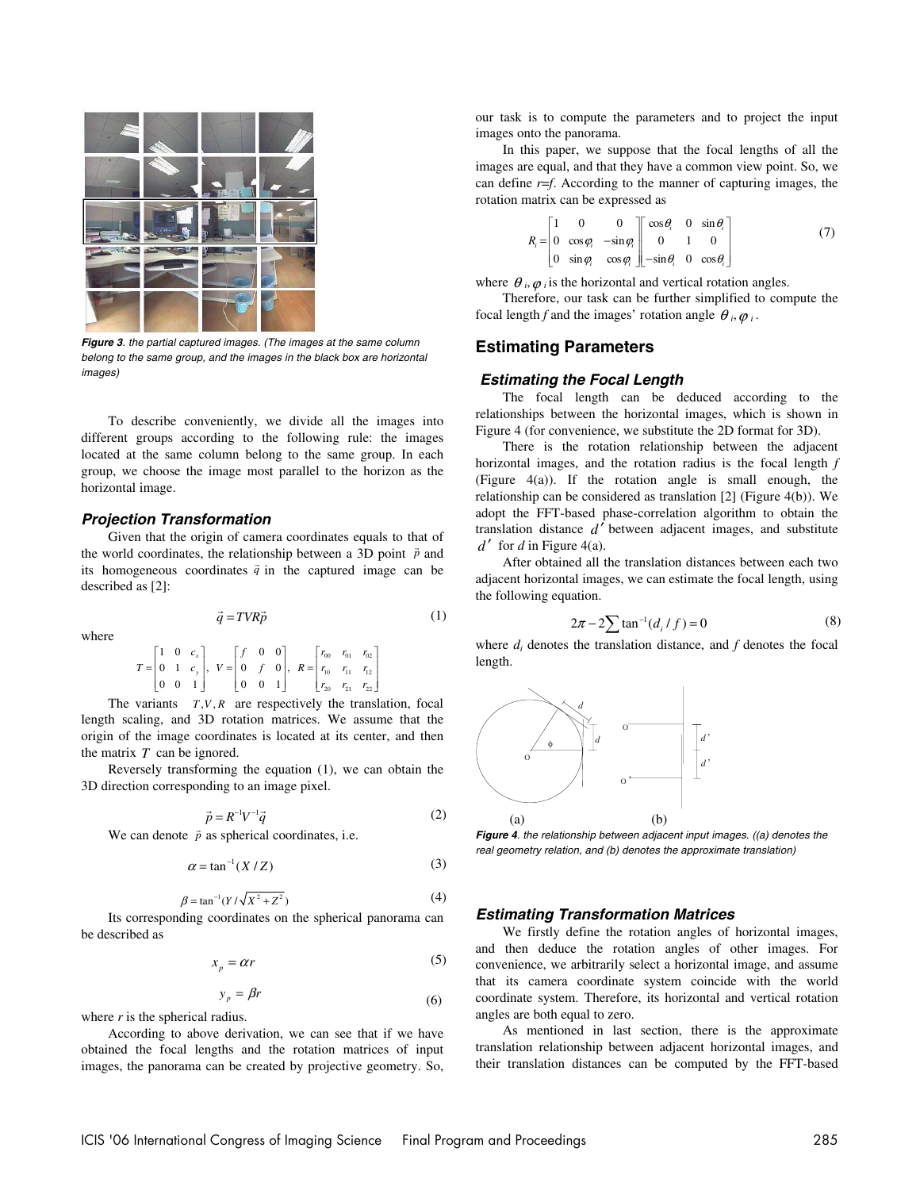

**Figure 3**. the partial captured images. (The images at the same column belong to the same group, and the images in the black box are horizontal images)

To describe conveniently, we divide all the images into different groups according to the following rule: the images located at the same column belong to the same group. In each group, we choose the image most parallel to the horizon as the horizontal image.

## **Projection Transformation**

Given that the origin of camera coordinates equals to that of the world coordinates, the relationship between a 3D point  $\vec{p}$  and its homogeneous coordinates  $\vec{q}$  in the captured image can be described as [2]:

where

$$
\vec{q} = TVR\vec{p} \tag{1}
$$

$$
T = \begin{bmatrix} 1 & 0 & c_x \\ 0 & 1 & c_y \\ 0 & 0 & 1 \end{bmatrix}, V = \begin{bmatrix} f & 0 & 0 \\ 0 & f & 0 \\ 0 & 0 & 1 \end{bmatrix}, R = \begin{bmatrix} r_{00} & r_{01} & r_{02} \\ r_{10} & r_{11} & r_{12} \\ r_{20} & r_{21} & r_{22} \end{bmatrix}
$$

The variants  $T, V, R$  are respectively the translation, focal length scaling, and 3D rotation matrices. We assume that the origin of the image coordinates is located at its center, and then the matrix *T* can be ignored.

Reversely transforming the equation (1), we can obtain the 3D direction corresponding to an image pixel.

$$
\vec{p} = R^{-1}V^{-1}\vec{q}
$$
 (2)

We can denote  $\vec{p}$  as spherical coordinates, i.e.

$$
\alpha = \tan^{-1}(X/Z) \tag{3}
$$

$$
\beta = \tan^{-1}(Y/\sqrt{X^2 + Z^2})
$$
 (4)

Its corresponding coordinates on the spherical panorama can be described as

$$
x_p = \alpha r \tag{5}
$$

$$
y_p = \beta r \tag{6}
$$

where *r* is the spherical radius.

According to above derivation, we can see that if we have obtained the focal lengths and the rotation matrices of input images, the panorama can be created by projective geometry. So, our task is to compute the parameters and to project the input images onto the panorama.

In this paper, we suppose that the focal lengths of all the images are equal, and that they have a common view point. So, we can define  $r=f$ . According to the manner of capturing images, the rotation matrix can be expressed as

$$
R_i = \begin{bmatrix} 1 & 0 & 0 \\ 0 & \cos \varphi_i & -\sin \varphi_i \\ 0 & \sin \varphi_i & \cos \varphi_i \end{bmatrix} \begin{bmatrix} \cos \theta_i & 0 & \sin \theta_i \\ 0 & 1 & 0 \\ -\sin \theta_i & 0 & \cos \theta_i \end{bmatrix}
$$
(7)

where  $\theta_i$ ,  $\varphi_i$  is the horizontal and vertical rotation angles.

Therefore, our task can be further simplified to compute the focal length *f* and the images' rotation angle  $\theta_i, \varphi_i$ .

# **Estimating Parameters**

#### **Estimating the Focal Length**

The focal length can be deduced according to the relationships between the horizontal images, which is shown in Figure 4 (for convenience, we substitute the 2D format for 3D).

There is the rotation relationship between the adjacent horizontal images, and the rotation radius is the focal length *f*  (Figure 4(a)). If the rotation angle is small enough, the relationship can be considered as translation [2] (Figure 4(b)). We adopt the FFT-based phase-correlation algorithm to obtain the translation distance  $d'$  between adjacent images, and substitute  $d'$  for *d* in Figure 4(a).

After obtained all the translation distances between each two adjacent horizontal images, we can estimate the focal length, using the following equation.

$$
2\pi - 2\sum \tan^{-1}(d_i/f) = 0
$$
 (8)

where  $d_i$  denotes the translation distance, and  $f$  denotes the focal length.



**Figure 4**. the relationship between adjacent input images. ((a) denotes the real geometry relation, and (b) denotes the approximate translation)

#### **Estimating Transformation Matrices**

We firstly define the rotation angles of horizontal images, and then deduce the rotation angles of other images. For convenience, we arbitrarily select a horizontal image, and assume that its camera coordinate system coincide with the world coordinate system. Therefore, its horizontal and vertical rotation angles are both equal to zero.

As mentioned in last section, there is the approximate translation relationship between adjacent horizontal images, and their translation distances can be computed by the FFT-based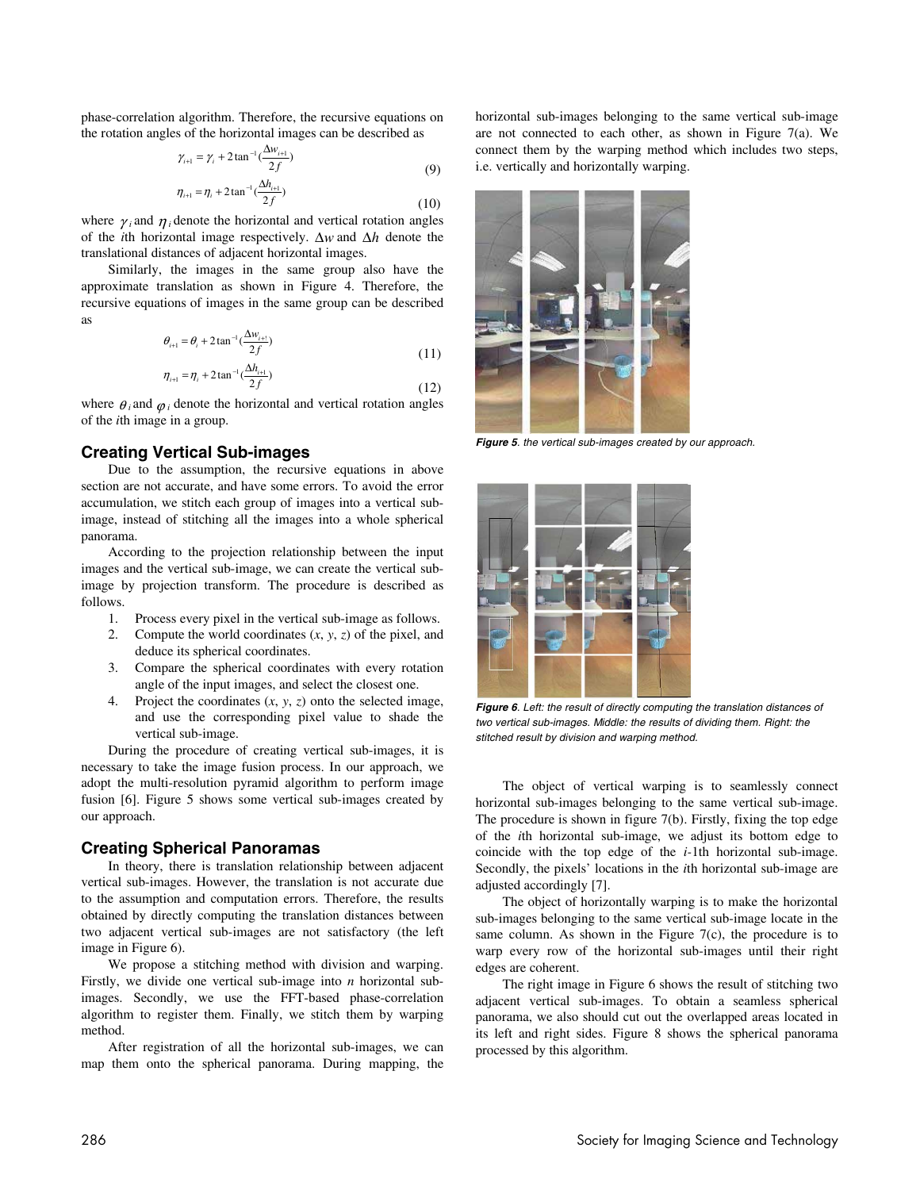phase-correlation algorithm. Therefore, the recursive equations on the rotation angles of the horizontal images can be described as

$$
\gamma_{i+1} = \gamma_i + 2 \tan^{-1} \left( \frac{\Delta w_{i+1}}{2f} \right)
$$
  
\n
$$
\eta_{i+1} = \eta_i + 2 \tan^{-1} \left( \frac{\Delta h_{i+1}}{2f} \right)
$$
\n(9)

where  $\gamma_i$  and  $\eta_i$  denote the horizontal and vertical rotation angles of the *i*th horizontal image respectively. ∆*w* and ∆*h* denote the translational distances of adjacent horizontal images.

Similarly, the images in the same group also have the approximate translation as shown in Figure 4. Therefore, the recursive equations of images in the same group can be described as

$$
\theta_{i+1} = \theta_i + 2 \tan^{-1} \left( \frac{\Delta w_{i+1}}{2f} \right) \tag{11}
$$

$$
\eta_{i+1} = \eta_i + 2 \tan^{-1} \left( \frac{\Delta h_{i+1}}{2f} \right) \tag{12}
$$

where  $\theta_i$  and  $\varphi_i$  denote the horizontal and vertical rotation angles of the *i*th image in a group.

## **Creating Vertical Sub-images**

Due to the assumption, the recursive equations in above section are not accurate, and have some errors. To avoid the error accumulation, we stitch each group of images into a vertical subimage, instead of stitching all the images into a whole spherical panorama.

According to the projection relationship between the input images and the vertical sub-image, we can create the vertical subimage by projection transform. The procedure is described as follows.

- 1. Process every pixel in the vertical sub-image as follows.
- 2. Compute the world coordinates (*x*, *y*, *z*) of the pixel, and deduce its spherical coordinates.
- 3. Compare the spherical coordinates with every rotation angle of the input images, and select the closest one.
- 4. Project the coordinates (*x*, *y*, *z*) onto the selected image, and use the corresponding pixel value to shade the vertical sub-image.

During the procedure of creating vertical sub-images, it is necessary to take the image fusion process. In our approach, we adopt the multi-resolution pyramid algorithm to perform image fusion [6]. Figure 5 shows some vertical sub-images created by our approach.

## **Creating Spherical Panoramas**

In theory, there is translation relationship between adjacent vertical sub-images. However, the translation is not accurate due to the assumption and computation errors. Therefore, the results obtained by directly computing the translation distances between two adjacent vertical sub-images are not satisfactory (the left image in Figure 6).

We propose a stitching method with division and warping. Firstly, we divide one vertical sub-image into *n* horizontal subimages. Secondly, we use the FFT-based phase-correlation algorithm to register them. Finally, we stitch them by warping method.

After registration of all the horizontal sub-images, we can map them onto the spherical panorama. During mapping, the

horizontal sub-images belonging to the same vertical sub-image are not connected to each other, as shown in Figure 7(a). We connect them by the warping method which includes two steps, i.e. vertically and horizontally warping.



**Figure 5**. the vertical sub-images created by our approach.



**Figure 6**. Left: the result of directly computing the translation distances of two vertical sub-images. Middle: the results of dividing them. Right: the stitched result by division and warping method.

The object of vertical warping is to seamlessly connect horizontal sub-images belonging to the same vertical sub-image. The procedure is shown in figure 7(b). Firstly, fixing the top edge of the *i*th horizontal sub-image, we adjust its bottom edge to coincide with the top edge of the *i-*1th horizontal sub-image. Secondly, the pixels' locations in the *i*th horizontal sub-image are adjusted accordingly [7].

The object of horizontally warping is to make the horizontal sub-images belonging to the same vertical sub-image locate in the same column. As shown in the Figure  $7(c)$ , the procedure is to warp every row of the horizontal sub-images until their right edges are coherent.

The right image in Figure 6 shows the result of stitching two adjacent vertical sub-images. To obtain a seamless spherical panorama, we also should cut out the overlapped areas located in its left and right sides. Figure 8 shows the spherical panorama processed by this algorithm.